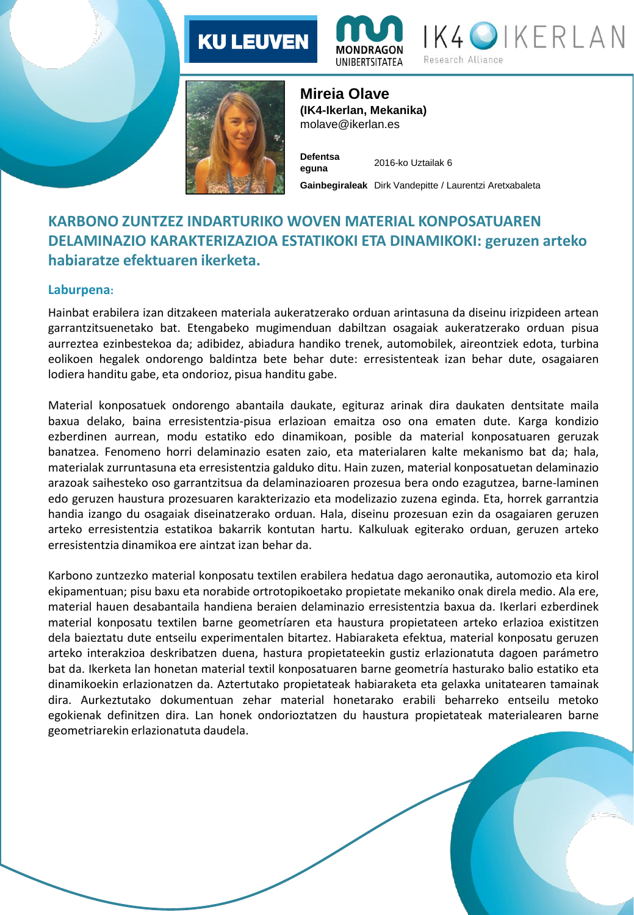# **KU LEUVEN**







**Mireia Olave (IK4-Ikerlan, Mekanika)**  molave@ikerlan.es

**Defentsa eguna** 2016-ko Uztailak 6 **Gainbegiraleak** Dirk Vandepitte / Laurentzi Aretxabaleta

### **KARBONO ZUNTZEZ INDARTURIKO WOVEN MATERIAL KONPOSATUAREN DELAMINAZIO KARAKTERIZAZIOA ESTATIKOKI ETA DINAMIKOKI: geruzen arteko habiaratze efektuaren ikerketa.**

### **Laburpena:**

Hainbat erabilera izan ditzakeen materiala aukeratzerako orduan arintasuna da diseinu irizpideen artean garrantzitsuenetako bat. Etengabeko mugimenduan dabiltzan osagaiak aukeratzerako orduan pisua aurreztea ezinbestekoa da; adibidez, abiadura handiko trenek, automobilek, aireontziek edota, turbina eolikoen hegalek ondorengo baldintza bete behar dute: erresistenteak izan behar dute, osagaiaren lodiera handitu gabe, eta ondorioz, pisua handitu gabe.

Material konposatuek ondorengo abantaila daukate, egituraz arinak dira daukaten dentsitate maila baxua delako, baina erresistentzia-pisua erlazioan emaitza oso ona ematen dute. Karga kondizio ezberdinen aurrean, modu estatiko edo dinamikoan, posible da material konposatuaren geruzak banatzea. Fenomeno horri delaminazio esaten zaio, eta materialaren kalte mekanismo bat da; hala, materialak zurruntasuna eta erresistentzia galduko ditu. Hain zuzen, material konposatuetan delaminazio arazoak saihesteko oso garrantzitsua da delaminazioaren prozesua bera ondo ezagutzea, barne-laminen edo geruzen haustura prozesuaren karakterizazio eta modelizazio zuzena eginda. Eta, horrek garrantzia handia izango du osagaiak diseinatzerako orduan. Hala, diseinu prozesuan ezin da osagaiaren geruzen arteko erresistentzia estatikoa bakarrik kontutan hartu. Kalkuluak egiterako orduan, geruzen arteko erresistentzia dinamikoa ere aintzat izan behar da.

Karbono zuntzezko material konposatu textilen erabilera hedatua dago aeronautika, automozio eta kirol ekipamentuan; pisu baxu eta norabide ortrotopikoetako propietate mekaniko onak direla medio. Ala ere, material hauen desabantaila handiena beraien delaminazio erresistentzia baxua da. Ikerlari ezberdinek material konposatu textilen barne geometríaren eta haustura propietateen arteko erlazioa existitzen dela baieztatu dute entseilu experimentalen bitartez. Habiaraketa efektua, material konposatu geruzen arteko interakzioa deskribatzen duena, hastura propietateekin gustiz erlazionatuta dagoen parámetro bat da. Ikerketa lan honetan material textil konposatuaren barne geometría hasturako balio estatiko eta dinamikoekin erlazionatzen da. Aztertutako propietateak habiaraketa eta gelaxka unitatearen tamainak dira. Aurkeztutako dokumentuan zehar material honetarako erabili beharreko entseilu metoko egokienak definitzen dira. Lan honek ondorioztatzen du haustura propietateak materialearen barne geometriarekin erlazionatuta daudela.